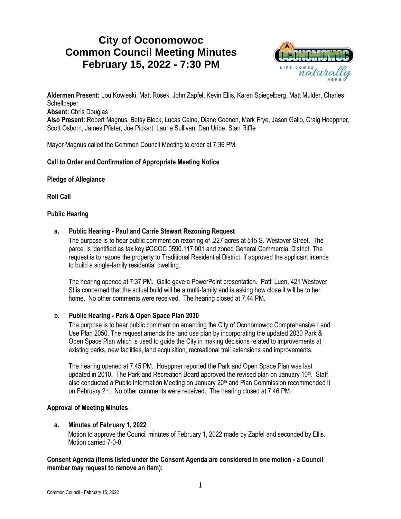# **City of Oconomowoc Common Council Meeting Minutes February 15, 2022 - 7:30 PM**



**Aldermen Present:** Lou Kowieski, Matt Rosek, John Zapfel, Kevin Ellis, Karen Spiegelberg, Matt Mulder, Charles **Schellpeper** 

**Absent:** Chris Douglas

**Also Present:** Robert Magnus, Betsy Bleck, Lucas Caine, Diane Coenen, Mark Frye, Jason Gallo, Craig Hoeppner, Scott Osborn, James Pfister, Joe Pickart, Laurie Sullivan, Dan Uribe, Stan Riffle

Mayor Magnus called the Common Council Meeting to order at 7:36 PM.

# **Call to Order and Confirmation of Appropriate Meeting Notice**

**Pledge of Allegiance**

**Roll Call**

#### **Public Hearing**

## **a. Public Hearing - Paul and Carrie Stewart Rezoning Request**

The purpose is to hear public comment on rezoning of .227 acres at 515 S. Westover Street. The parcel is identified as tax key #OCOC 0590.117.001 and zoned General Commercial District. The request is to rezone the property to Traditional Residential District. If approved the applicant intends to build a single-family residential dwelling.

The hearing opened at 7:37 PM. Gallo gave a PowerPoint presentation. Patti Luen, 421 Westover St is concerned that the actual build will be a multi-family and is asking how close it will be to her home. No other comments were received. The hearing closed at 7:44 PM.

# **b. Public Hearing - Park & Open Space Plan 2030**

The purpose is to hear public comment on amending the City of Oconomowoc Comprehensive Land Use Plan 2050. The request amends the land use plan by incorporating the updated 2030 Park & Open Space Plan which is used to guide the City in making decisions related to improvements at existing parks, new facilities, land acquisition, recreational trail extensions and improvements.

The hearing opened at 7:45 PM. Hoeppner reported the Park and Open Space Plan was last updated in 2010. The Park and Recreation Board approved the revised plan on January 10<sup>th</sup>. Staff also conducted a Public Information Meeting on January 20<sup>th</sup> and Plan Commission recommended it on February 2<sup>nd</sup>. No other comments were received. The hearing closed at 7:46 PM.

# **Approval of Meeting Minutes**

# **a. Minutes of February 1, 2022**

Motion to approve the Council minutes of February 1, 2022 made by Zapfel and seconded by Ellis. Motion carried 7-0-0.

## **Consent Agenda (Items listed under the Consent Agenda are considered in one motion - a Council member may request to remove an item):**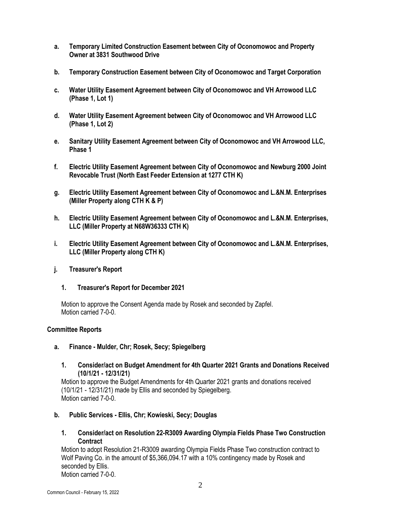- **a. Temporary Limited Construction Easement between City of Oconomowoc and Property Owner at 3831 Southwood Drive**
- **b. Temporary Construction Easement between City of Oconomowoc and Target Corporation**
- **c. Water Utility Easement Agreement between City of Oconomowoc and VH Arrowood LLC (Phase 1, Lot 1)**
- **d. Water Utility Easement Agreement between City of Oconomowoc and VH Arrowood LLC (Phase 1, Lot 2)**
- **e. Sanitary Utility Easement Agreement between City of Oconomowoc and VH Arrowood LLC, Phase 1**
- **f. Electric Utility Easement Agreement between City of Oconomowoc and Newburg 2000 Joint Revocable Trust (North East Feeder Extension at 1277 CTH K)**
- **g. Electric Utility Easement Agreement between City of Oconomowoc and L.&N.M. Enterprises (Miller Property along CTH K & P)**
- **h. Electric Utility Easement Agreement between City of Oconomowoc and L.&N.M. Enterprises, LLC (Miller Property at N68W36333 CTH K)**
- **i. Electric Utility Easement Agreement between City of Oconomowoc and L.&N.M. Enterprises, LLC (Miller Property along CTH K)**
- **j. Treasurer's Report**
	- **1. Treasurer's Report for December 2021**

Motion to approve the Consent Agenda made by Rosek and seconded by Zapfel. Motion carried 7-0-0.

#### **Committee Reports**

- **a. Finance - Mulder, Chr; Rosek, Secy; Spiegelberg**
	- **1. Consider/act on Budget Amendment for 4th Quarter 2021 Grants and Donations Received (10/1/21 - 12/31/21)**

Motion to approve the Budget Amendments for 4th Quarter 2021 grants and donations received (10/1/21 - 12/31/21) made by Ellis and seconded by Spiegelberg. Motion carried 7-0-0.

- **b. Public Services - Ellis, Chr; Kowieski, Secy; Douglas**
	- **1. Consider/act on Resolution 22-R3009 Awarding Olympia Fields Phase Two Construction Contract**

Motion to adopt Resolution 21-R3009 awarding Olympia Fields Phase Two construction contract to Wolf Paving Co. in the amount of \$5,366,094.17 with a 10% contingency made by Rosek and seconded by Ellis. Motion carried 7-0-0.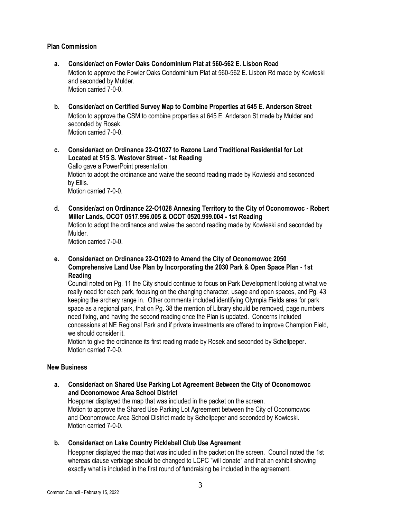### **Plan Commission**

- **a. Consider/act on Fowler Oaks Condominium Plat at 560-562 E. Lisbon Road** Motion to approve the Fowler Oaks Condominium Plat at 560-562 E. Lisbon Rd made by Kowieski and seconded by Mulder. Motion carried 7-0-0.
- **b. Consider/act on Certified Survey Map to Combine Properties at 645 E. Anderson Street** Motion to approve the CSM to combine properties at 645 E. Anderson St made by Mulder and seconded by Rosek. Motion carried 7-0-0.
- **c. Consider/act on Ordinance 22-O1027 to Rezone Land Traditional Residential for Lot Located at 515 S. Westover Street - 1st Reading** Gallo gave a PowerPoint presentation. Motion to adopt the ordinance and waive the second reading made by Kowieski and seconded by Ellis. Motion carried 7-0-0.
- **d. Consider/act on Ordinance 22-O1028 Annexing Territory to the City of Oconomowoc - Robert Miller Lands, OCOT 0517.996.005 & OCOT 0520.999.004 - 1st Reading** Motion to adopt the ordinance and waive the second reading made by Kowieski and seconded by Mulder.

Motion carried 7-0-0.

**e. Consider/act on Ordinance 22-O1029 to Amend the City of Oconomowoc 2050 Comprehensive Land Use Plan by Incorporating the 2030 Park & Open Space Plan - 1st Reading**

Council noted on Pg. 11 the City should continue to focus on Park Development looking at what we really need for each park, focusing on the changing character, usage and open spaces, and Pg. 43 keeping the archery range in. Other comments included identifying Olympia Fields area for park space as a regional park, that on Pg. 38 the mention of Library should be removed, page numbers need fixing, and having the second reading once the Plan is updated. Concerns included concessions at NE Regional Park and if private investments are offered to improve Champion Field, we should consider it.

Motion to give the ordinance its first reading made by Rosek and seconded by Schellpeper. Motion carried 7-0-0.

#### **New Business**

**a. Consider/act on Shared Use Parking Lot Agreement Between the City of Oconomowoc and Oconomowoc Area School District**

Hoeppner displayed the map that was included in the packet on the screen. Motion to approve the Shared Use Parking Lot Agreement between the City of Oconomowoc and Oconomowoc Area School District made by Schellpeper and seconded by Kowieski. Motion carried 7-0-0.

**b. Consider/act on Lake Country Pickleball Club Use Agreement**

Hoeppner displayed the map that was included in the packet on the screen. Council noted the 1st whereas clause verbiage should be changed to LCPC "will donate" and that an exhibit showing exactly what is included in the first round of fundraising be included in the agreement.